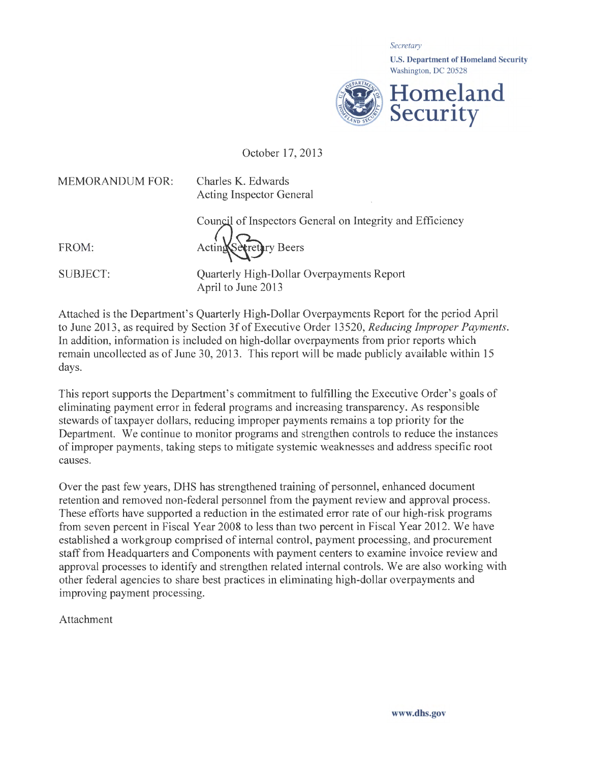*Secretary*  U.S. Department of Homeland Security Washington, DC 20528 **Homeland Security** 

October 17, 2013

MEMORANDUM FOR:

Charles K. Edwards Acting Inspector General

Council of Inspectors General on Integrity and Efficiency

FROM:

Acting Secretary Beers

SUBJECT:

Quarterly High-Dollar Overpayments Report April to June 2013

Attached is the Department's Quarterly High-Dollar Overpayments Report for the period April to June 2013 , as required by Section 3f of Executive Order 13520, *Reducing Improper Payments.*  In addition, information is included on high-dollar overpayments from prior reports which remain uncollected as of June 30, 2013. This report will be made publicly available within 15 days.

This report supports the Department's commitment to fulfilling the Executive Order's goals of eliminating payment error in federal programs and increasing transparency. As responsible stewards of taxpayer dollars, reducing improper payments remains a top priority for the Department. We continue to monitor programs and strengthen controls to reduce the instances of improper payments, taking steps to mitigate systemic weaknesses and address specific root causes.

Over the past few years, DHS has strengthened training of personnel, enhanced document retention and removed non-federal personnel from the payment review and approval process. These efforts have supported a reduction in the estimated error rate of our high-risk programs from seven percent in Fiscal Year 2008 to less than two percent in Fiscal Year 2012. We have established a workgroup comprised of internal control, payment processing, and procurement staff from Headquarters and Components with payment centers to examine invoice review and approval processes to identify and strengthen related internal controls. We are also working with other federal agencies to share best practices in eliminating high-dollar overpayments and improving payment processing.

Attachment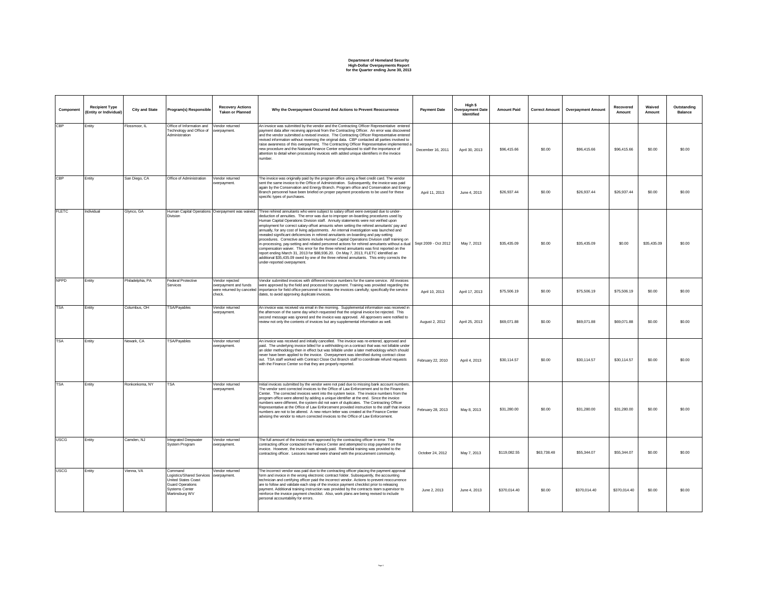## **Department of Homeland Security High-Dollar Overpayments Report for the Quarter ending June 30, 2013**

| Component    | <b>Recipient Type</b><br>(Entity or Individual) | <b>City and State</b> | Program(s) Responsible                                                                                                            | <b>Recovery Actions</b><br><b>Taken or Planned</b>                              | Why the Overpayment Occurred And Actions to Prevent Reoccurrence                                                                                                                                                                                                                                                                                                                                                                                                                                                                                                                                                                                                                                                                                                                                                                                                                                                                                                                                                                                                    | <b>Payment Date</b>  | High \$<br><b>Overpayment Date</b><br>Identified | <b>Amount Paid</b> | <b>Correct Amount</b> | <b>Overpayment Amount</b> | Recovered<br>Amount | Waived<br>Amount | Outstanding<br>Balance |
|--------------|-------------------------------------------------|-----------------------|-----------------------------------------------------------------------------------------------------------------------------------|---------------------------------------------------------------------------------|---------------------------------------------------------------------------------------------------------------------------------------------------------------------------------------------------------------------------------------------------------------------------------------------------------------------------------------------------------------------------------------------------------------------------------------------------------------------------------------------------------------------------------------------------------------------------------------------------------------------------------------------------------------------------------------------------------------------------------------------------------------------------------------------------------------------------------------------------------------------------------------------------------------------------------------------------------------------------------------------------------------------------------------------------------------------|----------------------|--------------------------------------------------|--------------------|-----------------------|---------------------------|---------------------|------------------|------------------------|
| CBP          | Entity                                          | Flossmoor, IL         | Office of Information and Vendor returned<br>Technology and Office of<br>Administration                                           | overpayment.                                                                    | An invoice was submitted by the vendor and the Contracting Officer Representative entered<br>payment data after receiving approval from the Contracting Officer. An error was discovered<br>and the vendor submitted a revised invoice. The Contracting Officer Representative entered<br>revised information without reversing the original data. CBP contacted all parties involved to<br>raise awareness of this overpayment. The Contracting Officer Representative implemented a<br>new procedure and the National Finance Center emphasized to staff the importance of<br>attention to detail when processing invoices with added unique identifiers in the invoice<br>number.                                                                                                                                                                                                                                                                                                                                                                                | December 16, 2011    | April 30, 2013                                   | \$96,415.66        | \$0.00                | \$96,415,66               | \$96,415.66         | \$0.00           | \$0.00                 |
| CBP          | Entity                                          | San Diego, CA         | Office of Administration                                                                                                          | Vendor returned<br>overpayment.                                                 | The invoice was originally paid by the program office using a fleet credit card. The vendor<br>sent the same invoice to the Office of Administration. Subsequently, the invoice was paid<br>again by the Conservation and Energy Branch. Program office and Conservation and Energy<br>Branch personnel have been briefed on proper payment procedures to be used for these<br>specific types of purchases.                                                                                                                                                                                                                                                                                                                                                                                                                                                                                                                                                                                                                                                         | April 11, 2013       | June 4, 2013                                     | \$26,937.44        | \$0.00                | \$26,937.44               | \$26,937.44         | \$0.00           | \$0.00                 |
| <b>FLETC</b> | Individual                                      | Glynco, GA            | <b>Division</b>                                                                                                                   | Human Capital Operations Overpayment was waived.                                | Three rehired annuitants who were subject to salary offset were overpaid due to under-<br>deduction of annuities. The error was due to improper on-boarding procedures used by<br>Human Capital Operations Division staff. Annuity statements were not verified upon<br>employment for correct salary-offset amounts when setting the rehired annuitants' pay and<br>annually, for any cost of living adjustments. An internal investigation was launched and<br>evealed significant deficiencies in rehired annuitants on-boarding and pay-setting<br>procedures. Corrective actions include Human Capital Operations Division staff training on<br>n-processing, pay-setting and related personnel actions for rehired annuitants without a dual<br>compensation waiver. This error for the three rehired annuitants was first reported on the<br>report ending March 31, 2013 for \$88,936.20. On May 7, 2013, FLETC identified an<br>additional \$35,435.09 owed by one of the three rehired annuitants. This entry corrects the<br>under-reported overpayment. | Sept 2009 - Oct 2012 | May 7, 2013                                      | \$35,435.09        | \$0.00                | \$35,435.09               | \$0.00              | \$35,435.09      | \$0.00                 |
| <b>NPPD</b>  | Entity                                          | Philadelphia, PA      | <b>Federal Protective</b><br>Services                                                                                             | Vendor rejected<br>overpayment and funds<br>were returned by canceled<br>check. | /endor submitted invoices with different invoice numbers for the same service. All invoices<br>were approved by the field and processed for payment. Training was provided regarding the<br>importance for field office personnel to review the invoices carefully; specifically the service<br>dates, to avoid approving duplicate invoices.                                                                                                                                                                                                                                                                                                                                                                                                                                                                                                                                                                                                                                                                                                                       | April 10, 2013       | April 17, 2013                                   | \$75,506.19        | \$0.00                | \$75,506.19               | \$75,506.19         | \$0.00           | \$0.00                 |
| <b>TSA</b>   | Entity                                          | Columbus, OH          | TSA/Payables                                                                                                                      | Vendor returned<br>overpayment.                                                 | An invoice was received via email in the morning. Supplemental information was received in<br>the afternoon of the same day which requested that the original invoice be rejected. This<br>second message was ignored and the invoice was approved. All approvers were notified to<br>review not only the contents of invoices but any supplemental information as well.                                                                                                                                                                                                                                                                                                                                                                                                                                                                                                                                                                                                                                                                                            | August 2, 2012       | April 25, 2013                                   | \$69,071.88        | \$0.00                | \$69,071.88               | \$69,071.88         | \$0.00           | \$0.00                 |
| <b>TSA</b>   | Entity                                          | Newark, CA            | TSA/Payables                                                                                                                      | Vendor returned<br>overpayment.                                                 | An invoice was received and initially cancelled. The invoice was re-entered, approved and<br>paid. The underlying invoice billed for a withholding on a contract that was not billable under<br>an older methodology then in effect but was billable under a later methodology which should<br>never have been applied to the invoice. Overpayment was identified during contract close<br>out. TSA staff worked with Contract Close Out Branch staff to coordinate refund requests<br>with the Finance Center so that they are properly reported.                                                                                                                                                                                                                                                                                                                                                                                                                                                                                                                  | February 22, 2010    | April 4, 2013                                    | \$30,114.57        | \$0.00                | \$30,114.57               | \$30,114.57         | \$0.00           | \$0.00                 |
| <b>TSA</b>   | Entity                                          | Ronkonkoma, NY        | <b>TSA</b>                                                                                                                        | Vendor returned<br>overpayment.                                                 | Initial invoices submitted by the vendor were not paid due to missing bank account numbers.<br>The vendor sent corrected invoices to the Office of Law Enforcement and to the Finance<br>Center. The corrected invoices went into the system twice. The invoice numbers from the<br>program office were altered by adding a unique identifier at the end. Since the invoice<br>numbers were different, the system did not warn of duplicates. The Contracting Officer<br>Representative at the Office of Law Enforcement provided instruction to the staff that invoice<br>numbers are not to be altered. A new return letter was created at the Finance Center<br>advising the vendor to return corrected invoices to the Office of Law Enforcement.                                                                                                                                                                                                                                                                                                               | February 28, 2013    | May 8, 2013                                      | \$31,280.00        | \$0.00                | \$31,280.00               | \$31,280.00         | \$0.00           | \$0.00                 |
| <b>USCG</b>  | Entity                                          | Camden, NJ            | Integrated Deepwater<br>System Program                                                                                            | Vendor returned<br>overpayment.                                                 | The full amount of the invoice was approved by the contracting officer in error. The<br>contracting officer contacted the Finance Center and attempted to stop payment on the<br>invoice. However, the invoice was already paid. Remedial training was provided to the<br>contracting officer. Lessons learned were shared with the procurement community.                                                                                                                                                                                                                                                                                                                                                                                                                                                                                                                                                                                                                                                                                                          | October 24, 2012     | May 7, 2013                                      | \$119,082.55       | \$63,738.48           | \$55,344.07               | \$55,344.07         | \$0.00           | \$0.00                 |
| <b>USCG</b>  | Entity                                          | Vienna, VA            | Command<br>Logistics/Shared Services<br>United States Coast<br><b>Guard Operations</b><br><b>Systems Center</b><br>Martinsburg WV | Vendor returned<br>overpayment.                                                 | The incorrect vendor was paid due to the contracting officer placing the payment approval<br>form and invoice in the wrong electronic contract folder. Subsequently, the accounting<br>technician and certifying officer paid the incorrect vendor. Actions to prevent reoccurrence<br>are to follow and validate each step of the invoice payment checklist prior to releasing<br>payment. Additional training instruction was provided by the contracts team supervisor to<br>reinforce the invoice payment checklist. Also, work plans are being revised to include<br>personal accountability for errors.                                                                                                                                                                                                                                                                                                                                                                                                                                                       | June 2, 2013         | June 4, 2013                                     | \$370,014.40       | \$0.00                | \$370,014.40              | \$370,014.40        | \$0.00           | \$0.00                 |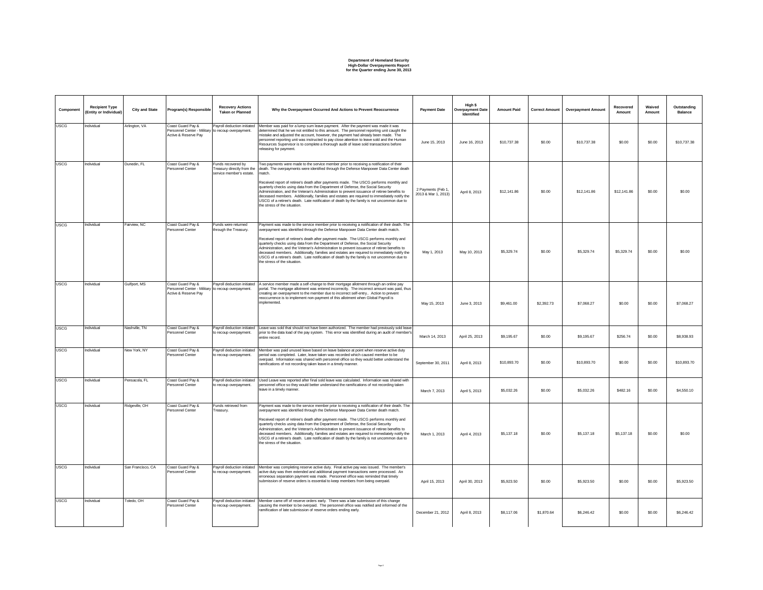## **Department of Homeland Security High-Dollar Overpayments Report for the Quarter ending June 30, 2013**

| Component   | <b>Recipient Type</b><br>(Entity or Individual) | <b>City and State</b> | Program(s) Responsible                                                                          | <b>Recovery Actions</b><br><b>Taken or Planned</b>                           | Why the Overpayment Occurred And Actions to Prevent Reoccurrence                                                                                                                                                                                                                                                                                                                                                                                                                                                                                                                                                                                                                                   | <b>Payment Date</b>                      | High \$<br><b>Overpayment Date</b><br>Identified | <b>Amount Paid</b> | <b>Correct Amount</b> | <b>Overpayment Amount</b> | Recovered<br>Amount | Waived<br>Amount | Outstanding<br><b>Balance</b> |
|-------------|-------------------------------------------------|-----------------------|-------------------------------------------------------------------------------------------------|------------------------------------------------------------------------------|----------------------------------------------------------------------------------------------------------------------------------------------------------------------------------------------------------------------------------------------------------------------------------------------------------------------------------------------------------------------------------------------------------------------------------------------------------------------------------------------------------------------------------------------------------------------------------------------------------------------------------------------------------------------------------------------------|------------------------------------------|--------------------------------------------------|--------------------|-----------------------|---------------------------|---------------------|------------------|-------------------------------|
| <b>USCG</b> | Individual                                      | Arlington, VA         | Coast Guard Pay &<br>Personnel Center - Military to recoup overpayment.<br>Active & Reserve Pay | Payroll deduction initiated                                                  | Member was paid for a lump sum leave payment. After the payment was made it was<br>determined that he we not entitled to this amount. The personnel reporting unit caught the<br>mistake and adjusted the account, however, the payment had already been made. The<br>personnel reporting unit was instructed to pay close attention to leave sold and the Human<br>Resources Supervisor is to complete a thorough audit of leave sold transactions before<br>releasing for payment.                                                                                                                                                                                                               | June 15, 2013                            | June 16, 2013                                    | \$10,737.38        | \$0.00                | \$10,737.38               | \$0.00              | \$0.00           | \$10,737.38                   |
| <b>USCG</b> | Individual                                      | Dunedin, FL           | Coast Guard Pay &<br>Personnel Center                                                           | Funds recovered by<br>Treasury directly from the<br>service member's estate. | wo payments were made to the service member prior to receiving a notification of their<br>death. The overpayments were identified through the Defense Manpower Data Center death<br>match.<br>Received report of retiree's death after payments made. The USCG performs monthly and<br>quarterly checks using data from the Department of Defense, the Social Security<br>Administration, and the Veteran's Administration to prevent issuance of retiree benefits to<br>deceased members. Additionally, families and estates are required to immediately notify the<br>USCG of a retiree's death. Late notification of death by the family is not uncommon due to<br>the stress of the situation. | 2 Payments (Feb 1<br>2013 & Mar 1, 2013) | April 8, 2013                                    | \$12,141.86        | \$0.00                | \$12,141.86               | \$12,141.86         | \$0.00           | \$0.00                        |
| <b>USCG</b> | Individual                                      | Fairview, NC          | Coast Guard Pay &<br>Personnel Center                                                           | Funds were returned<br>through the Treasury.                                 | Payment was made to the service member prior to receiving a notification of their death. The<br>overpayment was identified through the Defense Manpower Data Center death match.<br>Received report of retiree's death after payment made. The USCG performs monthly and<br>quarterly checks using data from the Department of Defense, the Social Security<br>Administration, and the Veteran's Administration to prevent issuance of retiree benefits to<br>deceased members. Additionally, families and estates are required to immediately notify the<br>USCG of a retiree's death. Late notification of death by the family is not uncommon due to<br>the stress of the situation.            | May 1, 2013                              | May 10, 2013                                     | \$5,329.74         | \$0.00                | \$5,329.74                | \$5,329.74          | \$0.00           | \$0.00                        |
| <b>USCG</b> | Individual                                      | Gulfport, MS          | Coast Guard Pay &<br>Personnel Center - Military to recoup overpayment.<br>Active & Reserve Pay |                                                                              | Payroll deduction initiated   A service member made a self-change to their mortgage allotment through an online pay<br>portal. The mortgage allotment was entered incorrectly. The incorrect amount was paid, thus<br>creating an overpayment to the member due to incorrect self-entry Action to prevent<br>reoccurrence is to implement non-payment of this allotment when Global Payroll is<br>implemented.                                                                                                                                                                                                                                                                                     | May 15, 2013                             | June 3, 2013                                     | \$9,461.00         | \$2,392.73            | \$7,068.27                | \$0.00              | \$0.00           | \$7,068.27                    |
| <b>USCG</b> | Individual                                      | Nashville, TN         | Coast Guard Pay &<br>Personnel Center                                                           | Payroll deduction initiated<br>to recoup overpayment.                        | Leave was sold that should not have been authorized. The member had previously sold leave<br>prior to the data load of the pay system. This error was identified during an audit of member's<br>entire record.                                                                                                                                                                                                                                                                                                                                                                                                                                                                                     | March 14, 2013                           | April 25, 2013                                   | \$9,195.67         | \$0.00                | \$9,195.67                | \$256.74            | \$0.00           | \$8,938.93                    |
| <b>USCG</b> | ndividual                                       | New York, NY          | Coast Guard Pay &<br>Personnel Center                                                           | Payroll deduction initiated<br>to recoup overpayment.                        | Member was paid unused leave based on leave balance at point when reserve active duty<br>period was completed. Later, leave taken was recorded which caused member to be<br>werpaid. Information was shared with personnel office so they would better understand the<br>ramifications of not recording taken leave in a timely manner.                                                                                                                                                                                                                                                                                                                                                            | September 30, 2011                       | April 8, 2013                                    | \$10,893.70        | \$0.00                | \$10,893.70               | \$0.00              | \$0.00           | \$10,893.70                   |
| <b>USCG</b> | Individual                                      | Pensacola, FL         | Coast Guard Pay &<br>Personnel Center                                                           | Pavroll deduction initiated<br>to recoup overpayment.                        | Used Leave was reported after final sold leave was calculated. Information was shared with<br>personnel office so they would better understand the ramifications of not recording taken<br>eave in a timely manner.                                                                                                                                                                                                                                                                                                                                                                                                                                                                                | March 7, 2013                            | April 5, 2013                                    | \$5,032.26         | \$0.00                | \$5,032.26                | \$482.16            | \$0.00           | \$4,550.10                    |
| <b>USCG</b> | Individual                                      | Ridgeville, OH        | Coast Guard Pay &<br>Personnel Center                                                           | Funds retrieved from<br>Treasurv.                                            | Payment was made to the service member prior to receiving a notification of their death. The<br>overpayment was identified through the Defense Manpower Data Center death match.<br>Received report of retiree's death after payment made. The USCG performs monthly and<br>quarterly checks using data from the Department of Defense, the Social Security<br>Administration, and the Veteran's Administration to prevent issuance of retiree benefits to<br>deceased members. Additionally, families and estates are required to immediately notify the<br>USCG of a retiree's death. Late notification of death by the family is not uncommon due to<br>the stress of the situation.            | March 1, 2013                            | April 4, 2013                                    | \$5,137.18         | \$0.00                | \$5,137.18                | \$5,137.18          | \$0.00           | \$0.00                        |
| <b>USCG</b> | Individual                                      | San Francisco, CA     | Coast Guard Pav &<br>Personnel Center                                                           | Payroll deduction initiated<br>to recoup overpayment.                        | Member was completing reserve active duty. Final active pay was issued. The member's<br>active duty was then extended and additional payment transactions were processed. An<br>erroneous separation payment was made. Personnel office was reminded that timely<br>submission of reserve orders is essential to keep members from being overpaid.                                                                                                                                                                                                                                                                                                                                                 | April 15, 2013                           | April 30, 2013                                   | \$5,923.50         | \$0.00                | \$5,923.50                | \$0.00              | \$0.00           | \$5,923.50                    |
| <b>USCG</b> | Individual                                      | Toledo, OH            | Coast Guard Pav &<br>Personnel Center                                                           | Pavroll deduction initiated<br>to recoup overpayment.                        | Member came off of reserve orders early. There was a late submission of this change<br>causing the member to be overpaid. The personnel office was notified and informed of the<br>ramification of late submission of reserve orders ending early.                                                                                                                                                                                                                                                                                                                                                                                                                                                 | December 21, 2012                        | April 8, 2013                                    | \$8.117.06         | \$1,870.64            | S6.246.42                 | \$0.00              | \$0.00           | \$6,246.42                    |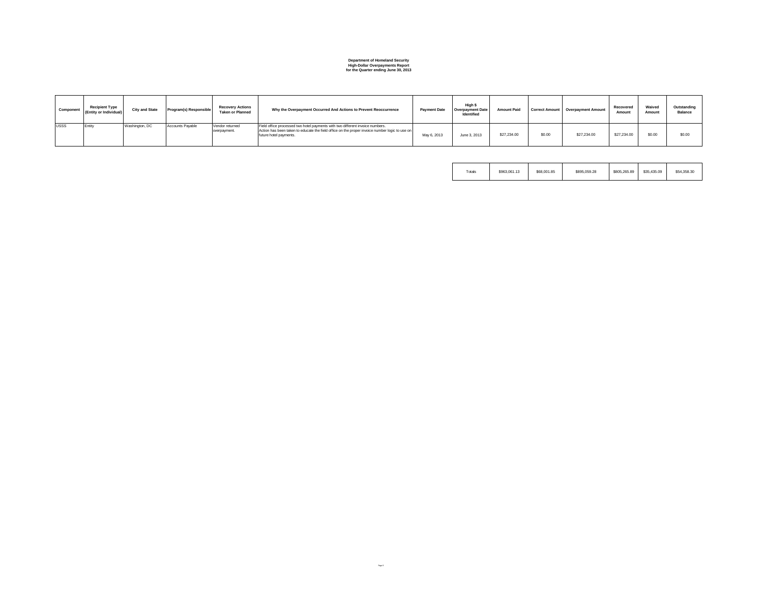# **Department of Homeland Security High-Dollar Overpayments Report for the Quarter ending June 30, 2013**

| Component   | <b>Recipient Type</b><br>(Entity or Individual) | <b>City and State</b> | Program(s) Responsible | <b>Recovery Actions</b><br><b>Taken or Planned</b> | Why the Overpayment Occurred And Actions to Prevent Reoccurrence                                                                                                                                          | <b>Payment Date</b> | High \$<br><b>Overpayment Date</b><br>Identified | <b>Amount Paid</b> |        | Correct Amount   Overpayment Amount | Recovered<br>Amount | Waived<br>Amount | Outstanding<br><b>Balance</b> |
|-------------|-------------------------------------------------|-----------------------|------------------------|----------------------------------------------------|-----------------------------------------------------------------------------------------------------------------------------------------------------------------------------------------------------------|---------------------|--------------------------------------------------|--------------------|--------|-------------------------------------|---------------------|------------------|-------------------------------|
| <b>USSS</b> | Entity                                          | Washington, DC        | Accounts Pavable       | Vendor returned<br>overpayment.                    | Field office processed two hotel payments with two different invoice numbers.<br>Action has been taken to educate the field office on the proper invoice number logic to use on<br>future hotel payments. | May 6, 2013         | June 3, 2013                                     | \$27,234.00        | \$0.00 | \$27,234.00                         | \$27,234.00         | \$0.00           | \$0.00                        |

| Totals | \$963,061.13 | \$68,001.85 | \$895.059.28 | \$805,265.89 | \$35,435.09 | \$54,358,30 |
|--------|--------------|-------------|--------------|--------------|-------------|-------------|
|        |              |             |              |              |             |             |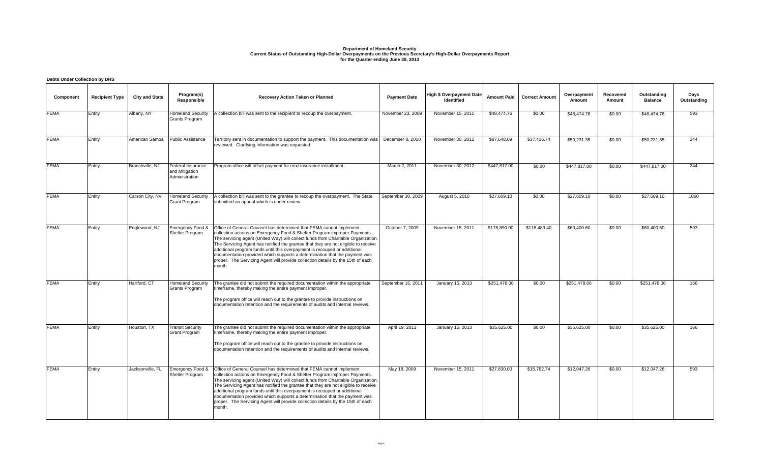## **Department of Homeland Security Current Status of Outstanding High-Dollar Overpayments on the Previous Secretary's High-Dollar Overpayments Report for the Quarter ending June 30, 2013**

#### **Component Recipient Type City and State Program(s) Responsible Recovery Action Taken or Planned Payment Date Payment Date High \$ Overpayment Date Identified Amount Paid Correct Amount Overpayment Amount Recovered Amount Outstanding Balance Days Outstanding** FEMA Entity Albany, NY Homeland Security Grants Program A collection bill was sent to the recipient to recoup the overpayment. November 23, 2009 November 15, 2011 \$48,474.76 \$0.00 \$48,474.76 \$0.00 \$48,474.76 593 FEMA Entity American Samoa Public Assistance Territory sent in documentation to support the payment. This documentation was reviewed. Clarifying information was requested. December 8, 2010 | November 30, 2012 | \$87,648.09 | \$37,416.74 | \$50,231.35 | \$0.00 | \$50,231.35 | 244 FEMA Entity Branchville, NJ Federal Insurance and Mitigation Administration Program office will offset payment for next insurance installment. March 2, 2011 November 30, 2012 \$447,817.00 \$0.00 \$447,817.00 \$0.00 \$447,817.00 \$147,817.00 FEMA Entity Carson City, NV Homeland Security Grant Program A collection bill was sent to the grantee to recoup the overpayment. The State September 30, 2009 | August 5, 2010 | \$27,609.10 | \$0.00 | \$27,609.10 | \$0.00 | \$27,609.10 | 1060 submitted an appeal which is under review. FEMA Entity Englewood, NJ Emergency Food & Office of General Counsel has determined that FEMA cannot implement Shelter Program collection actions on Emergency Food & Shelter Program improper Payments. The servicing agent (United Way) will collect funds from Charitable Organization. The Servicing Agent has notified the grantee that they are not eligible to receive additional program funds until this overpayment is recouped or additional documentation provided which supports a determination that the payment was proper. The Servicing Agent will provide collection details by the 15th of each month. October 7, 2009 | November 15, 2011 | \$178,890.00 | \$118,489.40 | \$60,400.60 | \$0.00 | \$60,400.60 | 593 FEMA Entity Hartford, CT Homeland Security Grants Program The grantee did not submit the required documentation within the appropriate timeframe, thereby making the entire payment improper. The program office will reach out to the grantee to provide instructions on documentation retention and the requirements of audits and internal reviews. September 16, 2011 January 15, 2013 \$251,478.06 \$0.00 \$251,478.06 \$0.00 \$251,478.06 166 **FEMA** Entity Houston, TX Transit Security Grant Program The grantee did not submit the required documentation within the appropriate timeframe, thereby making the entire payment improper. The program office will reach out to the grantee to provide instructions on documentation retention and the requirements of audits and internal reviews. April 19, 2011 | January 15, 2013 | \$35,625.00 | \$0.00 | \$35,625.00 | \$0.00 | \$35,625.00 | 166 FEMA Entity Jacksonville, FL Emergency Food & Shelter Program Office of General Counsel has determined that FEMA cannot implement collection actions on Emergency Food & Shelter Program improper Payments. The servicing agent (United Way) will collect funds from Charitable Organization. The Servicing Agent has notified the grantee that they are not eligible to receive additional program funds until this overpayment is recouped or additional documentation provided which supports a determination that the payment was proper. The Servicing Agent will provide collection details by the 15th of each month. May 18, 2009 November 15, 2011 \$27,830.00 \$15,782.74 \$12,047.26 \$0.00 \$12,047.26 593 **Debts Under Collection by DHS**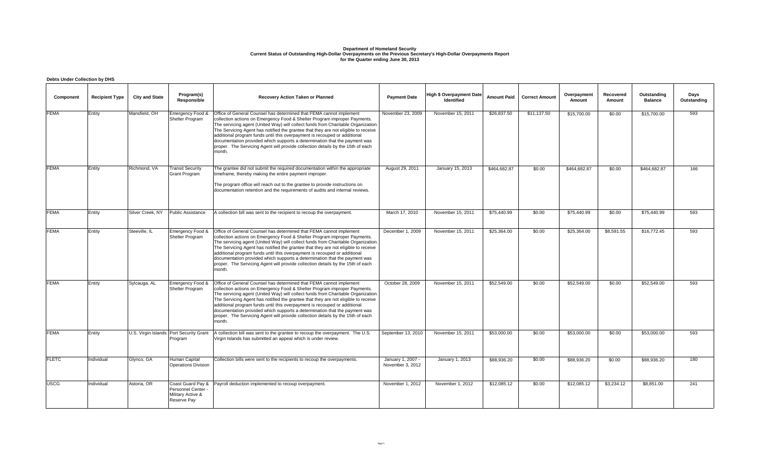# Department of Homeland Security<br>Current Status of Outstanding High-Dollar Overpayments on the Previous Secretary's High-Dollar Overpayments Report<br>for the Quarter ending June 30, 2013

### **Debts Under Collection by DHS**

| Component    | <b>Recipient Type</b> | <b>City and State</b> | Program(s)<br>Responsible                            | Recovery Action Taken or Planned                                                                                                                                                                                                                                                                                                                                                                                                                                                                                                                                                                     | <b>Payment Date</b>                   | <b>High \$ Overpayment Date</b><br><b>Identified</b> | <b>Amount Paid</b> | <b>Correct Amount</b> | Overpayment<br>Amount | Recovered<br>Amount | Outstanding<br><b>Balance</b> | Days<br>Outstanding |
|--------------|-----------------------|-----------------------|------------------------------------------------------|------------------------------------------------------------------------------------------------------------------------------------------------------------------------------------------------------------------------------------------------------------------------------------------------------------------------------------------------------------------------------------------------------------------------------------------------------------------------------------------------------------------------------------------------------------------------------------------------------|---------------------------------------|------------------------------------------------------|--------------------|-----------------------|-----------------------|---------------------|-------------------------------|---------------------|
| <b>FEMA</b>  | Entity                | Mansfield, OH         | Emergency Food &<br>Shelter Program                  | Office of General Counsel has determined that FEMA cannot implement<br>collection actions on Emergency Food & Shelter Program improper Payments.<br>The servicing agent (United Way) will collect funds from Charitable Organization.<br>The Servicing Agent has notified the grantee that they are not eligible to receive<br>additional program funds until this overpayment is recouped or additional<br>documentation provided which supports a determination that the payment was<br>proper. The Servicing Agent will provide collection details by the 15th of each<br>month.                  | November 23, 2009                     | November 15, 2011                                    | \$26,837.50        | \$11,137.50           | \$15,700.00           | \$0.00              | \$15,700.00                   | 593                 |
| <b>FEMA</b>  | Entity                | Richmond, VA          | <b>Transit Security</b><br>Grant Program             | The grantee did not submit the required documentation within the appropriate<br>timeframe, thereby making the entire payment improper.<br>The program office will reach out to the grantee to provide instructions on<br>documentation retention and the requirements of audits and internal reviews.                                                                                                                                                                                                                                                                                                | August 29, 2011                       | January 15, 2013                                     | \$464.682.87       | \$0.00                | \$464.682.87          | \$0.00              | \$464.682.87                  | 166                 |
| <b>FEMA</b>  | Entity                | Silver Creek, NY      | Public Assistance                                    | A collection bill was sent to the recipient to recoup the overpayment.                                                                                                                                                                                                                                                                                                                                                                                                                                                                                                                               | March 17, 2010                        | November 15, 2011                                    | \$75,440.99        | \$0.00                | \$75,440.99           | \$0.00              | \$75,440.99                   | 593                 |
| <b>FEMA</b>  | Entity                | Steeville, IL         | Shelter Program                                      | Emergency Food & Office of General Counsel has determined that FEMA cannot implement<br>collection actions on Emergency Food & Shelter Program improper Payments.<br>The servicing agent (United Way) will collect funds from Charitable Organization.<br>The Servicing Agent has notified the grantee that they are not eligible to receive<br>additional program funds until this overpayment is recouped or additional<br>documentation provided which supports a determination that the payment was<br>proper. The Servicing Agent will provide collection details by the 15th of each<br>month. | December 1, 2009                      | November 15, 2011                                    | \$25,364.00        | \$0.00                | \$25,364.00           | \$8,591.55          | \$16,772.45                   | 593                 |
| <b>FEMA</b>  | Entity                | Sylcauga, AL          | Emergency Food &<br>Shelter Program                  | Office of General Counsel has determined that FEMA cannot implement<br>collection actions on Emergency Food & Shelter Program improper Payments.<br>The servicing agent (United Way) will collect funds from Charitable Organization.<br>The Servicing Agent has notified the grantee that they are not eligible to receive<br>additional program funds until this overpayment is recouped or additional<br>documentation provided which supports a determination that the payment was<br>proper. The Servicing Agent will provide collection details by the 15th of each<br>month.                  | October 28, 2009                      | November 15, 2011                                    | \$52,549.00        | \$0.00                | \$52,549.00           | \$0.00              | \$52,549.00                   | 593                 |
| <b>FEMA</b>  | Entity                |                       | U.S. Virgin Islands Port Security Grant<br>Program   | A collection bill was sent to the grantee to recoup the overpayment. The U.S.<br>Virgin Islands has submitted an appeal which is under review.                                                                                                                                                                                                                                                                                                                                                                                                                                                       | September 13, 2010                    | November 15, 2011                                    | \$53,000.00        | \$0.00                | \$53,000.00           | \$0.00              | \$53,000.00                   | 593                 |
| <b>FLETC</b> | Individual            | Glynco, GA            | Human Capital<br><b>Operations Division</b>          | Collection bills were sent to the recipients to recoup the overpayments.                                                                                                                                                                                                                                                                                                                                                                                                                                                                                                                             | January 1, 2007 -<br>November 3, 2012 | January 1, 2013                                      | \$88,936.20        | \$0.00                | \$88,936.20           | \$0.00              | \$88,936.20                   | 180                 |
| <b>USCG</b>  | Individual            | Astoria, OR           | Personnel Center<br>Military Active &<br>Reserve Pay | Coast Guard Pay & Payroll deduction implemented to recoup overpayment.                                                                                                                                                                                                                                                                                                                                                                                                                                                                                                                               | November 1, 2012                      | November 1, 2012                                     | \$12,085.12        | \$0.00                | \$12.085.12           | \$3,234.12          | \$8,851.00                    | 241                 |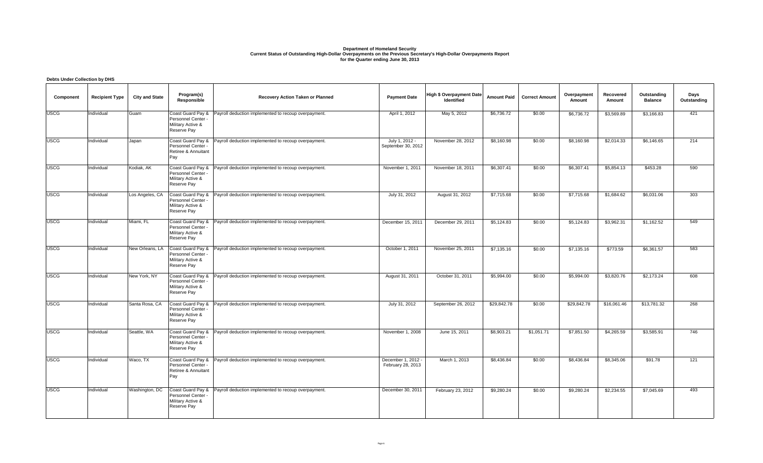### **Department of Homeland Security Current Status of Outstanding High-Dollar Overpayments on the Previous Secretary's High-Dollar Overpayments Report for the Quarter ending June 30, 2013**

#### **Component Recipient Type City and State Program(s) Responsible Recovery Action Taken or Planned Payment Date Payment Date High \$ Overpayment Date Identified Amount Paid Correct Amount Overpayment Amount Recovered Amount Outstanding Balance Days Outstanding Debts Under Collection by DHS** USCG Individual Guam Coast Guard Pay & Personnel Center Military Active & Reserve Pay Payroll deduction implemented to recoup overpayment. April 1, 2012 May 5, 2012 \$6,736.72 \$0.00 \$6,736.72 \$3,569.89 \$3,166.83 421 USCG Individual Japan Coast Guard Pay & Personnel Center - Retiree & Annuitant Pay Payroll deduction implemented to recoup overpayment. July 1, 2012 -September 30, 2012 November 28, 2012 \$8,160.98 \$0.00 \$8,160.98 \$2,014.33 \$6,146.65 214 USCG Individual Kodiak, AK Coast Guard Pay & Personnel Center - Military Active & Reserve Pay Payroll deduction implemented to recoup overpayment. November 1, 2011 November 18, 2011 \$6,307.41 \$0.00 \$6,307.41 \$5,854.13 \$453.28 590 USCG Individual Los Angeles, CA Coast Guard Pay & Personnel Center -Military Active & Reserve Pay Payroll deduction implemented to recoup overpayment. July 31, 2012 August 31, 2012 \$7,715.68 \$0.00 \$7,715.68 \$1,684.62 \$6,031.06 303 USCG | Individual | Miami, FL | Coast Guard Pay & | Payroll deduction implemented to recoup overpayment. | | December 15, 2011 | December 29, 2011 | \$5,124.83 | \$5,124.83 | \$3,962.31 | \$1,162.52 | 549 Personnel Center - Military Active & Reserve Pay USCG Individual New Orleans, LA Coast Guard Pay & Personnel Center - Military Active & Reserve Pay Payroll deduction implemented to recoup overpayment. <br>
Cotober 1, 2011 November 25, 2011 \$7,135.16 \$0.00 \$7,135.16 \$773.59 \$6,361.57 583 USCG |Individual |New York, NY |Coast Guard Pay & |Payroll deduction implemented to recoup overpayment. August 31, 2011 | \$5,994.00 | \$5,994.00 | \$3,820.76 | \$2,173.2 Personnel Center - Military Active & Reserve Pay USCG Individual Santa Rosa, CA Coast Guard Pay & Personnel Center - Military Active & Reserve Pay Payroll deduction implemented to recoup overpayment. July 31, 2012 September 26, 2012 \$29,842.78 \$0.00 \$29,842.78 \$16,061.46 \$13,781.32 268 USCG Individual Seattle, WA Coast Guard Pay & Personnel Center -Military Active & Reserve Pay Payroll deduction implemented to recoup overpayment. November 1, 2008 June 15, 2011 \$8,903.21 \$1,051.71 \$7,851.50 \$4,265.59 \$3,585.91 746 USCG Individual Waco, TX Coast Guard Pay & Personnel Center -Retiree & Annuitant Pay Payroll deduction implemented to recoup overpayment. December 1, 2012 - February 28, 2013 March 1, 2013 | \$8,436.84 | \$0.00 | \$8,436.84 | \$8,345.06 | \$91.78 | 121 USCG Individual Washington, DC Coast Guard Pay & Payroll deduction implemented to recoup overpayment. December 30, 2011 February 23, 2012 \$9,280.24 \$0.00 \$9,280.24 \$2,234.55 \$7,045.69 493Personnel Center - Military Active & Reserve Pay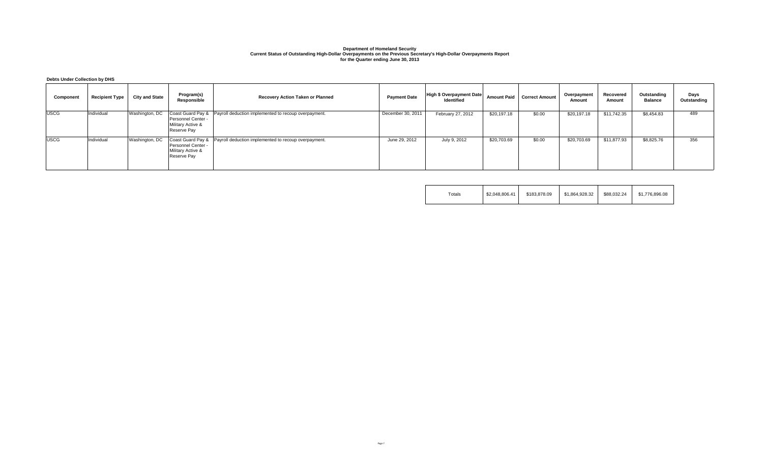# Department of Homeland Security<br>Current Status of Outstanding High-Dollar Overpayments on the Previous Secretary's High-Dollar Overpayments Report<br>for the Quarter ending June 30, 2013

**Debts Under Collection by DHS**

| Component   | <b>Recipient Type</b> | <b>City and State</b> | Program(s)<br>Responsible                              | Recovery Action Taken or Planned                                         | <b>Payment Date</b> | High \$ Overpayment Date<br><b>Identified</b> | Amount Paid | <b>Correct Amount</b> | Overpayment<br>Amount | Recovered<br>Amount | Outstanding<br><b>Balance</b> | Days<br>Outstanding |
|-------------|-----------------------|-----------------------|--------------------------------------------------------|--------------------------------------------------------------------------|---------------------|-----------------------------------------------|-------------|-----------------------|-----------------------|---------------------|-------------------------------|---------------------|
| <b>USCG</b> | Individual            | Washington, DC        | Personnel Center -<br>Military Active &<br>Reserve Pay | Coast Guard Pay &   Payroll deduction implemented to recoup overpayment. | December 30, 2011   | February 27, 2012                             | \$20,197.18 | \$0.00                | \$20,197.18           | \$11,742.35         | \$8,454.83                    | 489                 |
| <b>USCG</b> | Individual            | Washington, DC        | Personnel Center -<br>Military Active &<br>Reserve Pay | Coast Guard Pay &   Payroll deduction implemented to recoup overpayment. | June 29, 2012       | July 9, 2012                                  | \$20,703.69 | \$0.00                | \$20,703.69           | \$11,877.93         | \$8,825.76                    | 356                 |

| $\tau$ otals | \$2.048.806.41 | \$183,878,09 | \$1.864.928.32 | \$88,032.24 | \$1,776,896,08 |
|--------------|----------------|--------------|----------------|-------------|----------------|
|--------------|----------------|--------------|----------------|-------------|----------------|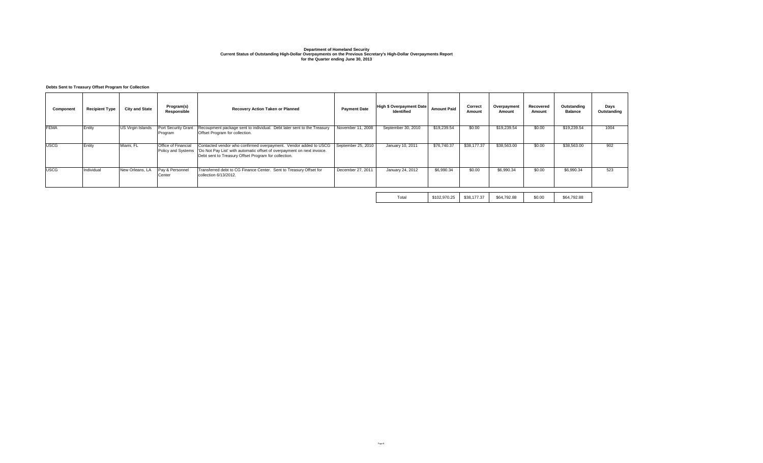# Department of Homeland Security<br>Current Status of Outstanding High-Dollar Overpayments Report<br>for the Quarter ending June 30, 2013<br>Current Status Overpayments Report

### **Debts Sent to Treasury Offset Program for Collection**

| Component   | <b>Recipient Type</b> | <b>City and State</b>    | Program(s)<br>Responsible                        | Recovery Action Taken or Planned                                                                                                                                                                    | <b>Payment Date</b> | <b>High \$ Overpayment Date</b><br>Identified | <b>Amount Paid</b> | Correct<br>Amount | Overpayment<br>Amount | Recovered<br>Amount | Outstanding<br><b>Balance</b> | Days<br>Outstanding |
|-------------|-----------------------|--------------------------|--------------------------------------------------|-----------------------------------------------------------------------------------------------------------------------------------------------------------------------------------------------------|---------------------|-----------------------------------------------|--------------------|-------------------|-----------------------|---------------------|-------------------------------|---------------------|
| <b>FEMA</b> | Entity                | <b>US Virgin Islands</b> | Port Security Grant<br>Program                   | Recoupment package sent to individual. Debt later sent to the Treasury<br>Offset Program for collection.                                                                                            | November 11, 2008   | September 30, 2010                            | \$19,239.54        | \$0.00            | \$19,239.54           | \$0.00              | \$19,239.54                   | 1004                |
| <b>USCG</b> | Entity                | Miami, FL                | <b>Office of Financial</b><br>Policy and Systems | Contacted vendor who confirmed overpayment. Vendor added to USCG<br>'Do Not Pay List' with automatic offset of overpayment on next invoice.<br>Debt sent to Treasury Offset Program for collection. | September 25, 2010  | January 10, 2011                              | \$76,740,37        | \$38,177.37       | \$38,563.00           | \$0.00              | \$38,563.00                   | 902                 |
| <b>USCG</b> | Individual            | New Orleans, LA          | Pav & Personnel<br>Center                        | Transferred debt to CG Finance Center. Sent to Treasury Offset for<br>collection 6/13/2012.                                                                                                         | December 27, 2011   | January 24, 2012                              | \$6,990.34         | \$0.00            | \$6,990.34            | \$0.00              | \$6,990.34                    | 523                 |
|             |                       |                          |                                                  |                                                                                                                                                                                                     |                     |                                               |                    |                   |                       |                     |                               |                     |

Total \$102,970.25 \$38,177.37 \$64,792.88 \$0.00 \$64,792.88